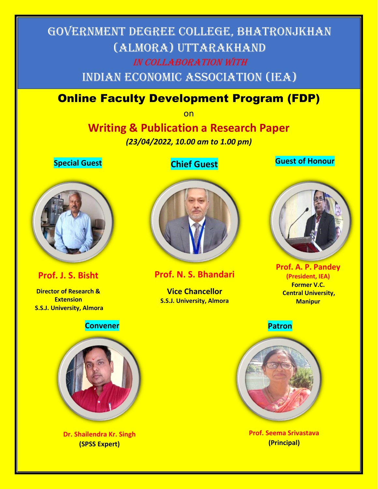# Government Degree College, Bhatronjkhan (Almora) Uttarakhand In Collaboration with Indian Economic Association (IEA)

### Online Faculty Development Program (FDP)

on

## **Writing & Publication a Research Paper**

*(23/04/2022, 10.00 am to 1.00 pm)*



### **Chief Guest Special Guest Guest of Honour**



### **Prof. J. S. Bisht**

**Director of Research & Extension S.S.J. University, Almora**



**Prof. N. S. Bhandari**

**Vice Chancellor S.S.J. University, Almora**



**Prof. A. P. Pandey (President, IEA) Former V.C. Central University, Manipur**



**Prof. Seema Srivastava (Principal)**



**Dr. Shailendra Kr. Singh (SPSS Expert)**